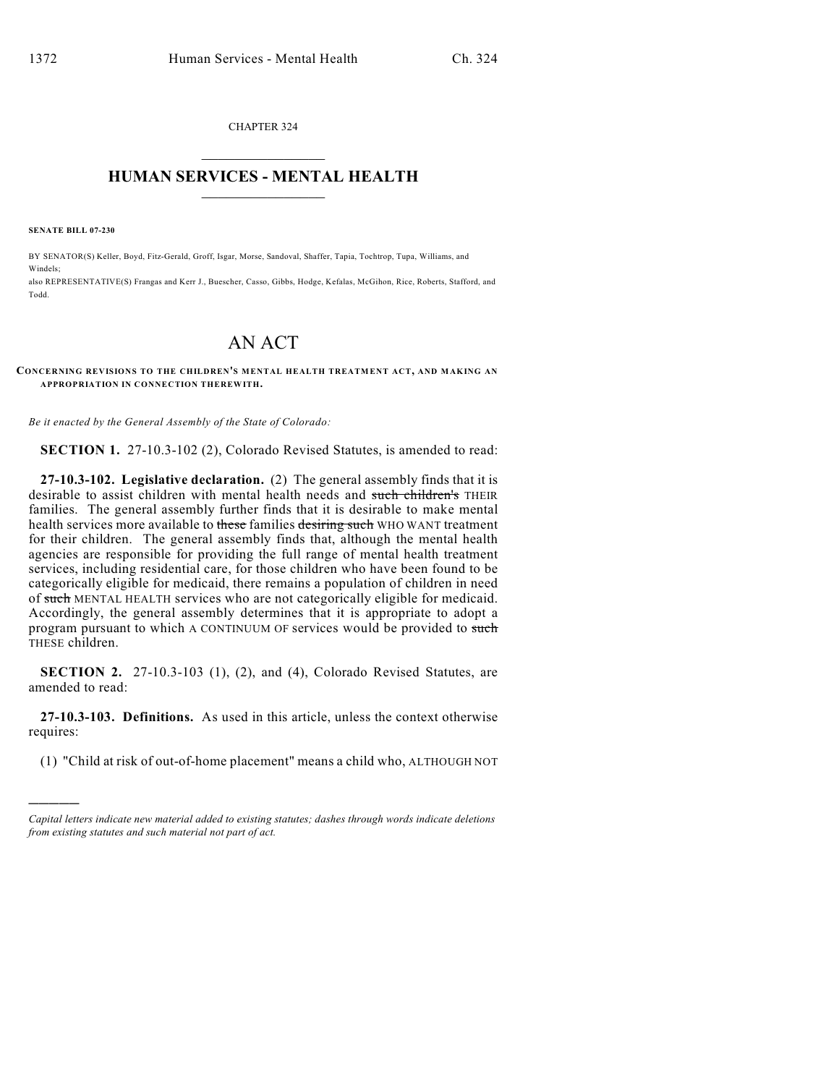CHAPTER 324  $\mathcal{L}_\text{max}$  . The set of the set of the set of the set of the set of the set of the set of the set of the set of the set of the set of the set of the set of the set of the set of the set of the set of the set of the set

## **HUMAN SERVICES - MENTAL HEALTH**  $\_$   $\_$   $\_$   $\_$   $\_$   $\_$   $\_$   $\_$   $\_$

**SENATE BILL 07-230**

)))))

BY SENATOR(S) Keller, Boyd, Fitz-Gerald, Groff, Isgar, Morse, Sandoval, Shaffer, Tapia, Tochtrop, Tupa, Williams, and Windels; also REPRESENTATIVE(S) Frangas and Kerr J., Buescher, Casso, Gibbs, Hodge, Kefalas, McGihon, Rice, Roberts, Stafford, and Todd.

## AN ACT

## **CONCERNING REVISIONS TO THE CHILDREN'S MENTAL HEALTH TREATMENT ACT, AND MAKING AN APPROPRIATION IN CONNECTION THEREWITH.**

*Be it enacted by the General Assembly of the State of Colorado:*

**SECTION 1.** 27-10.3-102 (2), Colorado Revised Statutes, is amended to read:

**27-10.3-102. Legislative declaration.** (2) The general assembly finds that it is desirable to assist children with mental health needs and such children's THEIR families. The general assembly further finds that it is desirable to make mental health services more available to these families desiring such WHO WANT treatment for their children. The general assembly finds that, although the mental health agencies are responsible for providing the full range of mental health treatment services, including residential care, for those children who have been found to be categorically eligible for medicaid, there remains a population of children in need of such MENTAL HEALTH services who are not categorically eligible for medicaid. Accordingly, the general assembly determines that it is appropriate to adopt a program pursuant to which A CONTINUUM OF services would be provided to such THESE children.

**SECTION 2.** 27-10.3-103 (1), (2), and (4), Colorado Revised Statutes, are amended to read:

**27-10.3-103. Definitions.** As used in this article, unless the context otherwise requires:

(1) "Child at risk of out-of-home placement" means a child who, ALTHOUGH NOT

*Capital letters indicate new material added to existing statutes; dashes through words indicate deletions from existing statutes and such material not part of act.*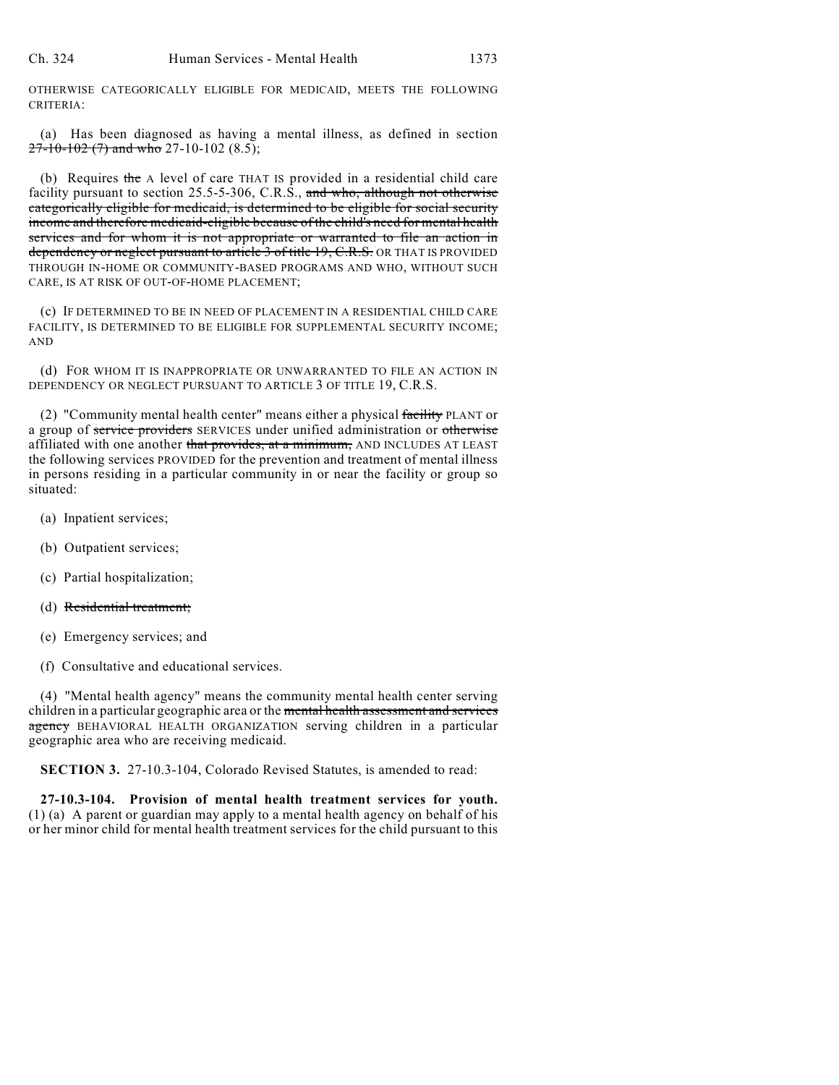OTHERWISE CATEGORICALLY ELIGIBLE FOR MEDICAID, MEETS THE FOLLOWING CRITERIA:

(a) Has been diagnosed as having a mental illness, as defined in section  $27-10-102$  (7) and who 27-10-102 (8.5);

(b) Requires the A level of care THAT IS provided in a residential child care facility pursuant to section 25.5-5-306, C.R.S., and who, although not otherwise categorically eligible for medicaid, is determined to be eligible for social security income and therefore medicaid-eligible because of the child's need for mental health services and for whom it is not appropriate or warranted to file an action in dependency or neglect pursuant to article 3 of title 19, C.R.S. OR THAT IS PROVIDED THROUGH IN-HOME OR COMMUNITY-BASED PROGRAMS AND WHO, WITHOUT SUCH CARE, IS AT RISK OF OUT-OF-HOME PLACEMENT;

(c) IF DETERMINED TO BE IN NEED OF PLACEMENT IN A RESIDENTIAL CHILD CARE FACILITY, IS DETERMINED TO BE ELIGIBLE FOR SUPPLEMENTAL SECURITY INCOME; AND

(d) FOR WHOM IT IS INAPPROPRIATE OR UNWARRANTED TO FILE AN ACTION IN DEPENDENCY OR NEGLECT PURSUANT TO ARTICLE 3 OF TITLE 19, C.R.S.

(2) "Community mental health center" means either a physical facility PLANT or a group of service providers SERVICES under unified administration or otherwise affiliated with one another that provides, at a minimum, AND INCLUDES AT LEAST the following services PROVIDED for the prevention and treatment of mental illness in persons residing in a particular community in or near the facility or group so situated:

- (a) Inpatient services;
- (b) Outpatient services;
- (c) Partial hospitalization;
- (d) Residential treatment;
- (e) Emergency services; and
- (f) Consultative and educational services.

(4) "Mental health agency" means the community mental health center serving children in a particular geographic area or the mental health assessment and services agency BEHAVIORAL HEALTH ORGANIZATION serving children in a particular geographic area who are receiving medicaid.

**SECTION 3.** 27-10.3-104, Colorado Revised Statutes, is amended to read:

**27-10.3-104. Provision of mental health treatment services for youth.** (1) (a) A parent or guardian may apply to a mental health agency on behalf of his or her minor child for mental health treatment services for the child pursuant to this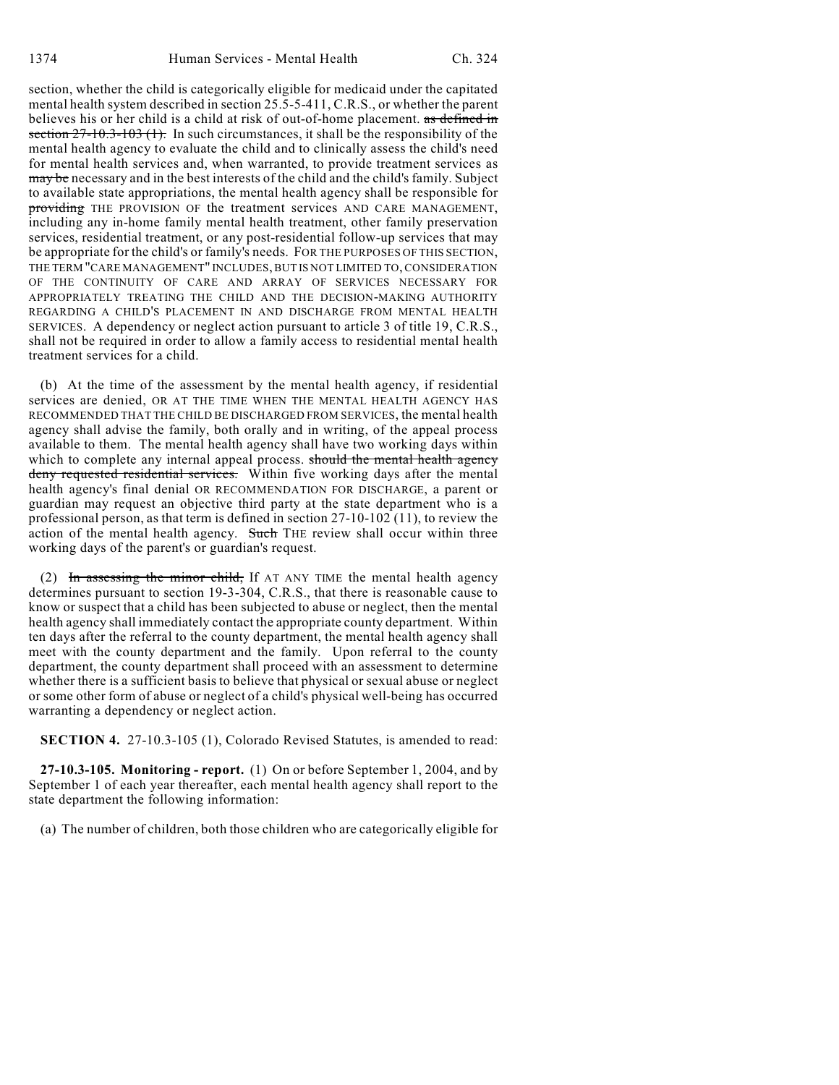section, whether the child is categorically eligible for medicaid under the capitated mental health system described in section 25.5-5-411, C.R.S., or whether the parent believes his or her child is a child at risk of out-of-home placement. as defined in section  $27-10.3-103$  (1). In such circumstances, it shall be the responsibility of the mental health agency to evaluate the child and to clinically assess the child's need for mental health services and, when warranted, to provide treatment services as may be necessary and in the best interests of the child and the child's family. Subject to available state appropriations, the mental health agency shall be responsible for providing THE PROVISION OF the treatment services AND CARE MANAGEMENT, including any in-home family mental health treatment, other family preservation services, residential treatment, or any post-residential follow-up services that may be appropriate for the child's or family's needs. FOR THE PURPOSES OF THIS SECTION, THE TERM "CARE MANAGEMENT" INCLUDES, BUT IS NOT LIMITED TO, CONSIDERATION OF THE CONTINUITY OF CARE AND ARRAY OF SERVICES NECESSARY FOR APPROPRIATELY TREATING THE CHILD AND THE DECISION-MAKING AUTHORITY REGARDING A CHILD'S PLACEMENT IN AND DISCHARGE FROM MENTAL HEALTH SERVICES. A dependency or neglect action pursuant to article 3 of title 19, C.R.S., shall not be required in order to allow a family access to residential mental health treatment services for a child.

(b) At the time of the assessment by the mental health agency, if residential services are denied, OR AT THE TIME WHEN THE MENTAL HEALTH AGENCY HAS RECOMMENDED THAT THE CHILD BE DISCHARGED FROM SERVICES, the mental health agency shall advise the family, both orally and in writing, of the appeal process available to them. The mental health agency shall have two working days within which to complete any internal appeal process. should the mental health agency deny requested residential services. Within five working days after the mental health agency's final denial OR RECOMMENDATION FOR DISCHARGE, a parent or guardian may request an objective third party at the state department who is a professional person, as that term is defined in section 27-10-102 (11), to review the action of the mental health agency. Such THE review shall occur within three working days of the parent's or guardian's request.

(2) In assessing the minor child, If AT ANY TIME the mental health agency determines pursuant to section 19-3-304, C.R.S., that there is reasonable cause to know or suspect that a child has been subjected to abuse or neglect, then the mental health agency shall immediately contact the appropriate county department. Within ten days after the referral to the county department, the mental health agency shall meet with the county department and the family. Upon referral to the county department, the county department shall proceed with an assessment to determine whether there is a sufficient basis to believe that physical or sexual abuse or neglect or some other form of abuse or neglect of a child's physical well-being has occurred warranting a dependency or neglect action.

**SECTION 4.** 27-10.3-105 (1), Colorado Revised Statutes, is amended to read:

**27-10.3-105. Monitoring - report.** (1) On or before September 1, 2004, and by September 1 of each year thereafter, each mental health agency shall report to the state department the following information:

(a) The number of children, both those children who are categorically eligible for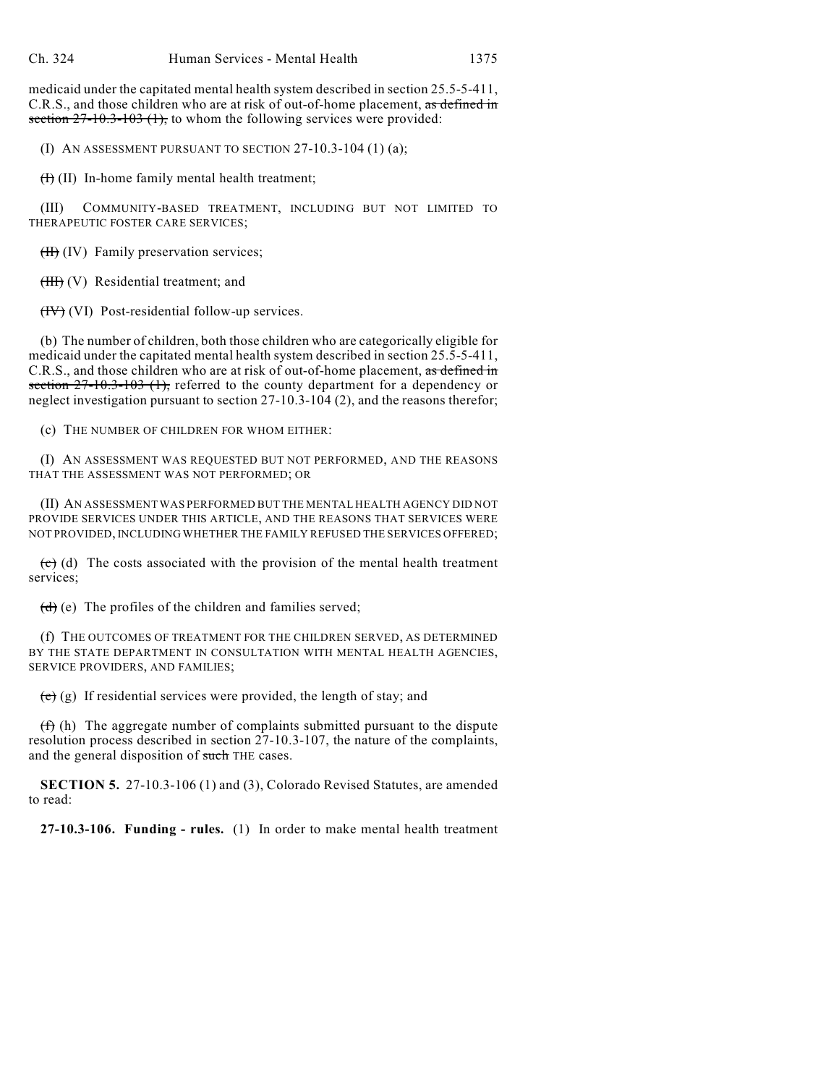medicaid under the capitated mental health system described in section 25.5-5-411, C.R.S., and those children who are at risk of out-of-home placement, as defined in section  $27-10.3-103$  (1), to whom the following services were provided:

(I) AN ASSESSMENT PURSUANT TO SECTION 27-10.3-104 (1) (a);

 $(H)$  (II) In-home family mental health treatment;

(III) COMMUNITY-BASED TREATMENT, INCLUDING BUT NOT LIMITED TO THERAPEUTIC FOSTER CARE SERVICES;

 $(H)$  (IV) Family preservation services;

 $(HH)$  (V) Residential treatment; and

 $(HV)$  (VI) Post-residential follow-up services.

(b) The number of children, both those children who are categorically eligible for medicaid under the capitated mental health system described in section 25.5-5-411, C.R.S., and those children who are at risk of out-of-home placement, as defined in section  $27-10.3-103$  (1), referred to the county department for a dependency or neglect investigation pursuant to section 27-10.3-104 (2), and the reasons therefor;

(c) THE NUMBER OF CHILDREN FOR WHOM EITHER:

(I) AN ASSESSMENT WAS REQUESTED BUT NOT PERFORMED, AND THE REASONS THAT THE ASSESSMENT WAS NOT PERFORMED; OR

(II) AN ASSESSMENT WAS PERFORMED BUT THE MENTAL HEALTH AGENCY DID NOT PROVIDE SERVICES UNDER THIS ARTICLE, AND THE REASONS THAT SERVICES WERE NOT PROVIDED, INCLUDING WHETHER THE FAMILY REFUSED THE SERVICES OFFERED;

 $(e)$  (d) The costs associated with the provision of the mental health treatment services;

 $(d)$  (e) The profiles of the children and families served;

(f) THE OUTCOMES OF TREATMENT FOR THE CHILDREN SERVED, AS DETERMINED BY THE STATE DEPARTMENT IN CONSULTATION WITH MENTAL HEALTH AGENCIES, SERVICE PROVIDERS, AND FAMILIES;

 $(e)$  (g) If residential services were provided, the length of stay; and

 $(f)$  (h) The aggregate number of complaints submitted pursuant to the dispute resolution process described in section 27-10.3-107, the nature of the complaints, and the general disposition of such THE cases.

**SECTION 5.** 27-10.3-106 (1) and (3), Colorado Revised Statutes, are amended to read:

**27-10.3-106. Funding - rules.** (1) In order to make mental health treatment